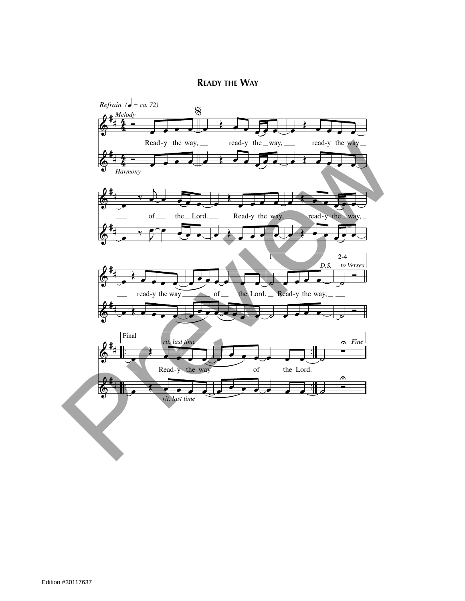## **READY THE WAY**